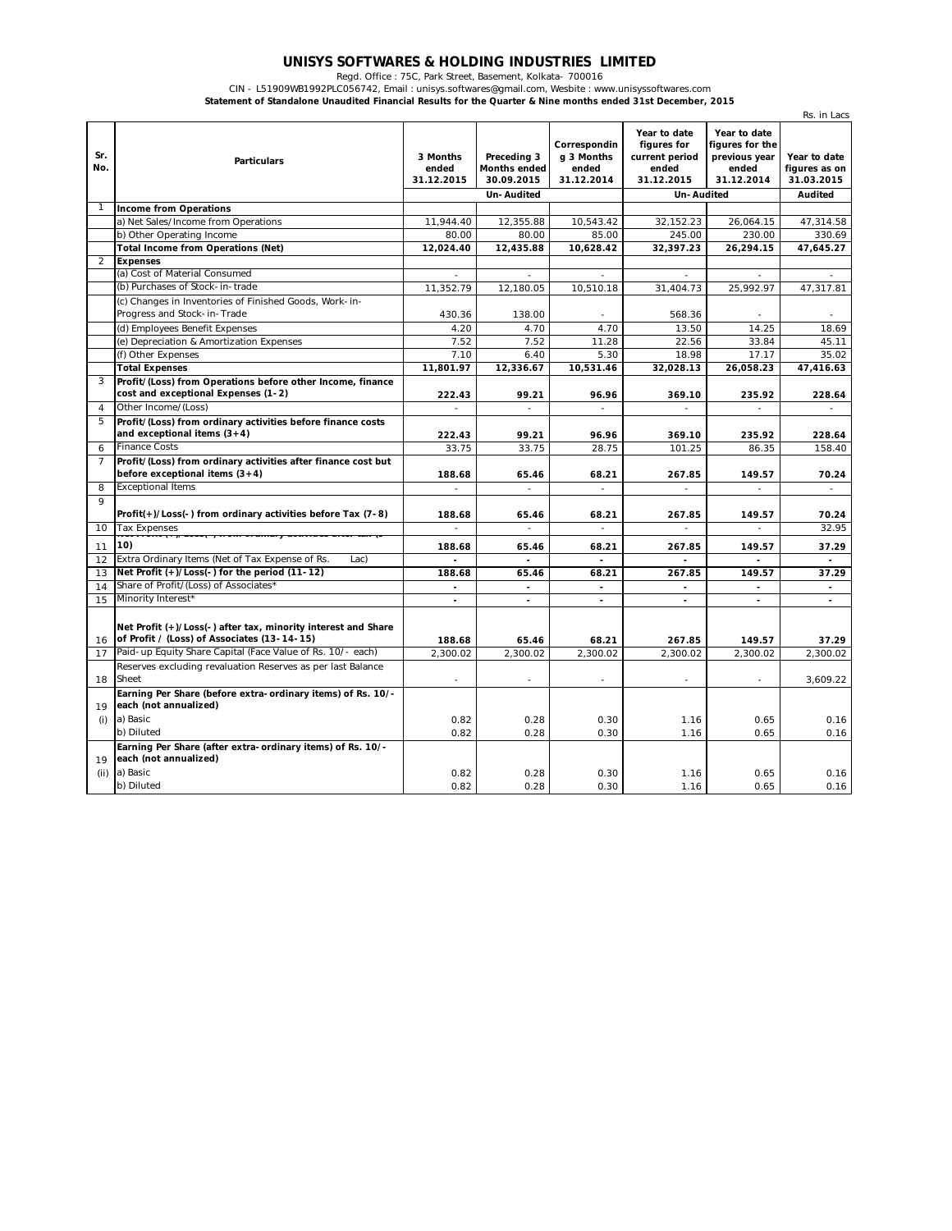## **UNISYS SOFTWARES & HOLDING INDUSTRIES LIMITED** Regd. Office : 75C, Park Street, Basement, Kolkata- 700016

CIN - L51909WB1992PLC056742, Email : unisys.softwares@gmail.com, Wesbite : www.unisyssoftwares.com **Statement of Standalone Unaudited Financial Results for the Quarter & Nine months ended 31st December, 2015**

|                |                                                                                                              |                                 |                                                                |                                                   |                                                                                           |                                                                         | Rs. in Lacs                                            |
|----------------|--------------------------------------------------------------------------------------------------------------|---------------------------------|----------------------------------------------------------------|---------------------------------------------------|-------------------------------------------------------------------------------------------|-------------------------------------------------------------------------|--------------------------------------------------------|
| Sr.<br>No.     | <b>Particulars</b>                                                                                           | 3 Months<br>ended<br>31.12.2015 | Preceding 3<br><b>Months ended</b><br>30.09.2015<br>Un-Audited | Correspondin<br>g 3 Months<br>ended<br>31.12.2014 | Year to date<br>figures for<br>current period<br>ended<br>31.12.2015<br><b>Un-Audited</b> | Year to date<br>figures for the<br>previous year<br>ended<br>31.12.2014 | Year to date<br>figures as on<br>31.03.2015<br>Audited |
|                | <b>Income from Operations</b>                                                                                |                                 |                                                                |                                                   |                                                                                           |                                                                         |                                                        |
|                | a) Net Sales/Income from Operations                                                                          | 11,944.40                       | 12,355.88                                                      | 10,543.42                                         | 32,152.23                                                                                 | 26,064.15                                                               | 47,314.58                                              |
|                | b) Other Operating Income                                                                                    | 80.00                           | 80.00                                                          | 85.00                                             | 245.00                                                                                    | 230.00                                                                  | 330.69                                                 |
|                | <b>Total Income from Operations (Net)</b>                                                                    | 12,024.40                       | 12,435.88                                                      | 10,628.42                                         | 32,397.23                                                                                 | 26,294.15                                                               | 47,645.27                                              |
| 2              | <b>Expenses</b>                                                                                              |                                 |                                                                |                                                   |                                                                                           |                                                                         |                                                        |
|                | (a) Cost of Material Consumed                                                                                |                                 |                                                                |                                                   | ٠                                                                                         |                                                                         |                                                        |
|                | (b) Purchases of Stock-in-trade                                                                              | 11,352.79                       | 12,180.05                                                      | 10,510.18                                         | 31,404.73                                                                                 | 25,992.97                                                               | 47,317.81                                              |
|                | (c) Changes in Inventories of Finished Goods, Work-in-                                                       |                                 |                                                                |                                                   |                                                                                           |                                                                         |                                                        |
|                | Progress and Stock-in-Trade                                                                                  | 430.36                          | 138.00                                                         | ٠                                                 | 568.36                                                                                    |                                                                         |                                                        |
|                | (d) Employees Benefit Expenses                                                                               | 4.20                            | 4.70                                                           | 4.70                                              | 13.50                                                                                     | 14.25                                                                   | 18.69                                                  |
|                | (e) Depreciation & Amortization Expenses                                                                     | 7.52                            | 7.52                                                           | 11.28                                             | 22.56                                                                                     | 33.84                                                                   | 45.11                                                  |
|                | (f) Other Expenses                                                                                           | 7.10                            | 6.40                                                           | 5.30                                              | 18.98                                                                                     | 17.17                                                                   | 35.02                                                  |
|                | <b>Total Expenses</b>                                                                                        | 11,801.97                       | 12,336.67                                                      | 10,531.46                                         | 32,028.13                                                                                 | 26,058.23                                                               | 47,416.63                                              |
| 3              | Profit/(Loss) from Operations before other Income, finance<br>cost and exceptional Expenses (1-2)            | 222.43                          | 99.21                                                          | 96.96                                             | 369.10                                                                                    | 235.92                                                                  | 228.64                                                 |
| $\overline{4}$ | Other Income/(Loss)                                                                                          | ÷.                              |                                                                |                                                   |                                                                                           |                                                                         |                                                        |
| 5              | Profit/(Loss) from ordinary activities before finance costs<br>and exceptional items $(3+4)$                 | 222.43                          | 99.21                                                          | 96.96                                             | 369.10                                                                                    | 235.92                                                                  | 228.64                                                 |
| 6              | <b>Finance Costs</b>                                                                                         | 33.75                           | 33.75                                                          | 28.75                                             | 101.25                                                                                    | 86.35                                                                   | 158.40                                                 |
| 7              | Profit/(Loss) from ordinary activities after finance cost but<br>before exceptional items $(3+4)$            | 188.68                          | 65.46                                                          | 68.21                                             | 267.85                                                                                    | 149.57                                                                  | 70.24                                                  |
| 8              | <b>Exceptional Items</b>                                                                                     | $\mathbf{r}$                    | $\sim$                                                         | $\mathcal{L}$                                     | $\mathcal{L}$                                                                             | $\sim$                                                                  | $\sim$                                                 |
| 9              | Profit(+)/Loss(-) from ordinary activities before Tax (7-8)                                                  | 188.68                          | 65.46                                                          | 68.21                                             | 267.85                                                                                    | 149.57                                                                  | 70.24                                                  |
| 10             | <b>Tax Expenses</b>                                                                                          | ä,                              | $\overline{\phantom{a}}$                                       | $\overline{\phantom{0}}$                          | $\overline{\phantom{a}}$                                                                  | ÷.                                                                      | 32.95                                                  |
| 11             | 10)                                                                                                          | 188.68                          | 65.46                                                          | 68.21                                             | 267.85                                                                                    | 149.57                                                                  | 37.29                                                  |
| 12             | Extra Ordinary Items (Net of Tax Expense of Rs.<br>Lac)                                                      | ٠                               | $\blacksquare$                                                 | $\blacksquare$                                    | $\overline{a}$                                                                            | ÷.                                                                      | $\sim$                                                 |
| 13             | Net Profit (+)/Loss(-) for the period (11-12)                                                                | 188.68                          | 65.46                                                          | 68.21                                             | 267.85                                                                                    | 149.57                                                                  | 37.29                                                  |
| 14             | Share of Profit/(Loss) of Associates'                                                                        | $\blacksquare$                  | $\sim$                                                         | $\mathbf{r}$                                      | $\blacksquare$                                                                            | $\sim$                                                                  | $\sim$                                                 |
| 15             | Minority Interest*                                                                                           |                                 |                                                                |                                                   |                                                                                           |                                                                         |                                                        |
| 16             | Net Profit (+)/Loss(-) after tax, minority interest and Share<br>of Profit / (Loss) of Associates (13-14-15) | 188.68                          | 65.46                                                          | 68.21                                             | 267.85                                                                                    | 149.57                                                                  | 37.29                                                  |
| 17             | Paid-up Equity Share Capital (Face Value of Rs. 10/- each)                                                   | 2.300.02                        | 2,300.02                                                       | 2,300.02                                          | 2,300.02                                                                                  | 2,300.02                                                                | 2,300.02                                               |
| 18             | Reserves excluding revaluation Reserves as per last Balance<br>Sheet                                         | ÷.                              | ÷.                                                             | L,                                                | ÷                                                                                         | ÷                                                                       | 3,609.22                                               |
| 19             | Earning Per Share (before extra-ordinary items) of Rs. 10/-<br>each (not annualized)                         |                                 |                                                                |                                                   |                                                                                           |                                                                         |                                                        |
| (i)            | a) Basic                                                                                                     | 0.82                            | 0.28                                                           | 0.30                                              | 1.16                                                                                      | 0.65                                                                    | 0.16                                                   |
|                | b) Diluted                                                                                                   | 0.82                            | 0.28                                                           | 0.30                                              | 1.16                                                                                      | 0.65                                                                    | 0.16                                                   |
| 19             | Earning Per Share (after extra-ordinary items) of Rs. 10/-<br>each (not annualized)                          |                                 |                                                                |                                                   |                                                                                           |                                                                         |                                                        |
| (ii)           | a) Basic                                                                                                     | 0.82                            | 0.28                                                           | 0.30                                              | 1.16                                                                                      | 0.65                                                                    | 0.16                                                   |
|                | b) Diluted                                                                                                   | 0.82                            | 0.28                                                           | 0.30                                              | 1.16                                                                                      | 0.65                                                                    | 0.16                                                   |